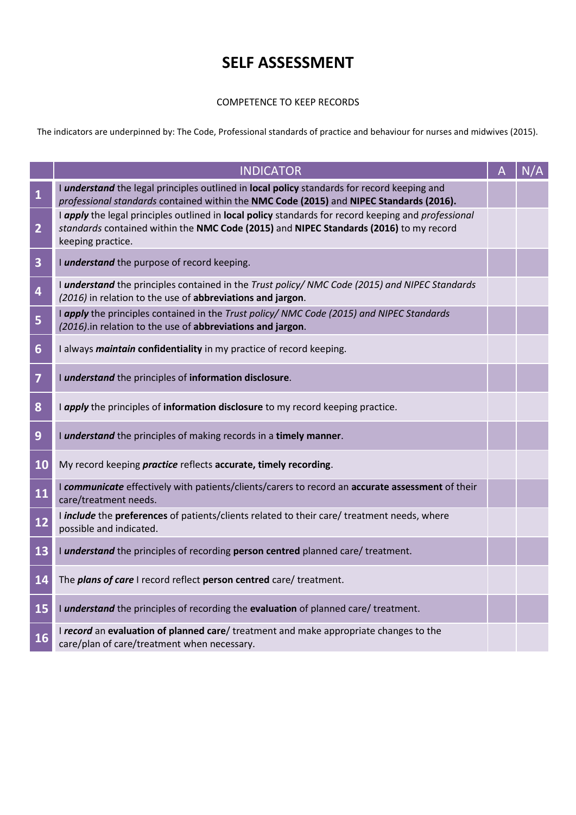## **SELF ASSESSMENT**

## COMPETENCE TO KEEP RECORDS

The indicators are underpinned by: The Code, Professional standards of practice and behaviour for nurses and midwives (2015).

|                         | <b>INDICATOR</b>                                                                                                                                                                                                   | N/A |
|-------------------------|--------------------------------------------------------------------------------------------------------------------------------------------------------------------------------------------------------------------|-----|
| $\mathbf{1}$            | I <i>understand</i> the legal principles outlined in local policy standards for record keeping and<br>professional standards contained within the NMC Code (2015) and NIPEC Standards (2016).                      |     |
| $\overline{2}$          | I apply the legal principles outlined in local policy standards for record keeping and professional<br>standards contained within the NMC Code (2015) and NIPEC Standards (2016) to my record<br>keeping practice. |     |
| $\overline{\mathbf{3}}$ | I understand the purpose of record keeping.                                                                                                                                                                        |     |
| 4                       | I understand the principles contained in the Trust policy/NMC Code (2015) and NIPEC Standards<br>(2016) in relation to the use of abbreviations and jargon.                                                        |     |
| 5                       | I apply the principles contained in the Trust policy/NMC Code (2015) and NIPEC Standards<br>(2016).in relation to the use of abbreviations and jargon.                                                             |     |
| $6\phantom{1}$          | I always maintain confidentiality in my practice of record keeping.                                                                                                                                                |     |
| $\overline{7}$          | I understand the principles of information disclosure.                                                                                                                                                             |     |
| 8                       | I apply the principles of information disclosure to my record keeping practice.                                                                                                                                    |     |
| 9                       | I understand the principles of making records in a timely manner.                                                                                                                                                  |     |
| 10                      | My record keeping <i>practice</i> reflects accurate, timely recording.                                                                                                                                             |     |
| 11                      | I communicate effectively with patients/clients/carers to record an accurate assessment of their<br>care/treatment needs.                                                                                          |     |
| 12                      | I include the preferences of patients/clients related to their care/ treatment needs, where<br>possible and indicated.                                                                                             |     |
| 13                      | I understand the principles of recording person centred planned care/ treatment.                                                                                                                                   |     |
| 14                      | The plans of care I record reflect person centred care/ treatment.                                                                                                                                                 |     |
| 15                      | I understand the principles of recording the evaluation of planned care/ treatment.                                                                                                                                |     |
| 16                      | I record an evaluation of planned care/ treatment and make appropriate changes to the<br>care/plan of care/treatment when necessary.                                                                               |     |